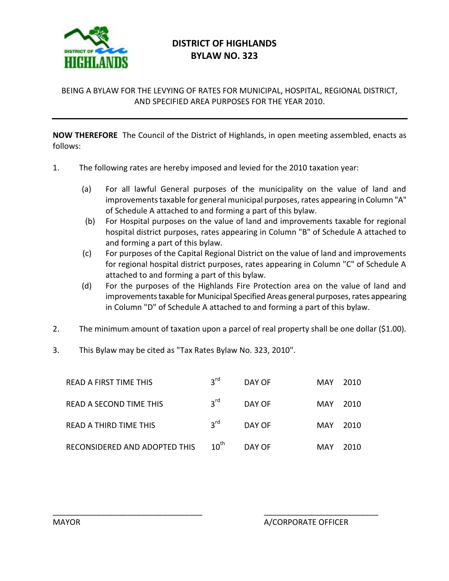

## **DISTRICT OF HIGHLANDS BYLAW NO. 323**

## BEING A BYLAW FOR THE LEVYING OF RATES FOR MUNICIPAL, HOSPITAL, REGIONAL DISTRICT, AND SPECIFIED AREA PURPOSES FOR THE YEAR 2010.

**NOW THEREFORE** The Council of the District of Highlands, in open meeting assembled, enacts as follows:

- 1. The following rates are hereby imposed and levied for the 2010 taxation year:
	- (a) For all lawful General purposes of the municipality on the value of land and improvements taxable for general municipal purposes, rates appearing in Column "A" of Schedule A attached to and forming a part of this bylaw.
	- (b) For Hospital purposes on the value of land and improvements taxable for regional hospital district purposes, rates appearing in Column "B" of Schedule A attached to and forming a part of this bylaw.
	- (c) For purposes of the Capital Regional District on the value of land and improvements for regional hospital district purposes, rates appearing in Column "C" of Schedule A attached to and forming a part of this bylaw.
	- (d) For the purposes of the Highlands Fire Protection area on the value of land and improvements taxable for Municipal Specified Areas general purposes, rates appearing in Column "D" of Schedule A attached to and forming a part of this bylaw.
- 2. The minimum amount of taxation upon a parcel of real property shall be one dollar (\$1.00).
- 3. This Bylaw may be cited as "Tax Rates Bylaw No. 323, 2010".

| READ A FIRST TIME THIS        | $3^{\text{rd}}$  | DAY OF | MAY  | 2010 |
|-------------------------------|------------------|--------|------|------|
| READ A SECOND TIME THIS       | $3^{\text{rd}}$  | DAY OF | MAY  | 2010 |
| READ A THIRD TIME THIS        | $2^{\text{rd}}$  | DAY OF | MAY. | 2010 |
| RECONSIDERED AND ADOPTED THIS | $10^{\text{th}}$ | DAY OF | MAY  | 2010 |

\_\_\_\_\_\_\_\_\_\_\_\_\_\_\_\_\_\_\_\_\_\_\_\_\_\_\_\_\_\_\_\_\_\_ \_\_\_\_\_\_\_\_\_\_\_\_\_\_\_\_\_\_\_\_\_\_\_\_\_\_